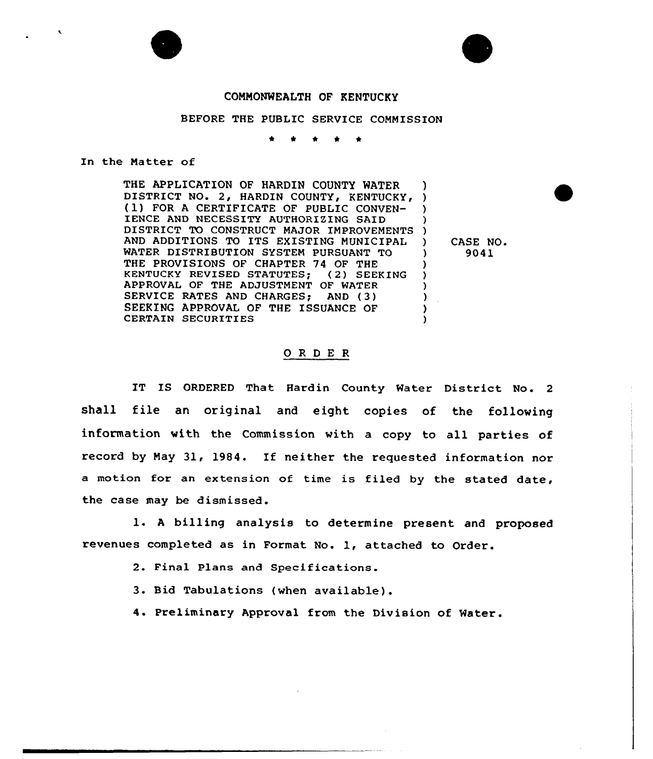# COMMONWEALTH OF KENTUCKY

## BEFORE THE PUBLIC SERVICE COMMISSION

\* \* \* \*

## In the Matter of

THE APPLICATION OF HARDIN COUNTY WATER DISTRICT NO. 2, HARDIN COUNTY, KENTUCKY, (1) FOR A CERTIFICATE OF PUBLIC CONVEN-IENCE AND NECESSITY AUTHORIZING SAID DISTRICT TO CONSTRUCT MAJOR IMPROVEMENT AND ADDITIONS TO ITS EXISTING MUNICIPAL WATER DISTRIBUTION SYSTEM PURSUANT TO THE PROVISIONS OF CHAPTER 74 OF THE KENTUCKY REVISED STATUTES; (2) SEEKING APPROVAL OF THE ADJUSTMENT OF WATER SERVICE RATES AND CHARGES; AND (3) SEEKING APPROVAL OF THE ISSUANCE OF CERTAIN SECURITIES ) ) ) ) ) ) ) ) )  $\lambda$ )

 $\bigvee$  CASE NO. ) 9041

# ORDER

IT IS ORDERED That Hardin County Water District No. <sup>2</sup> shall file an original and eight copies of the following information with the Commission with a copy to all parties of record by May 31, 1984. If neither the requested information nor a motion for an extension of time is filed by the stated date, the case may be dismissed.

l. <sup>A</sup> billing analysis to determine present and proposed revenues completed as in Format No. 1, attached to Order.

- 2. Final Plans and Specifications.
- 3. Bid Tabulations (when available).
- 4. Preliminary Approval fram the Division of Water.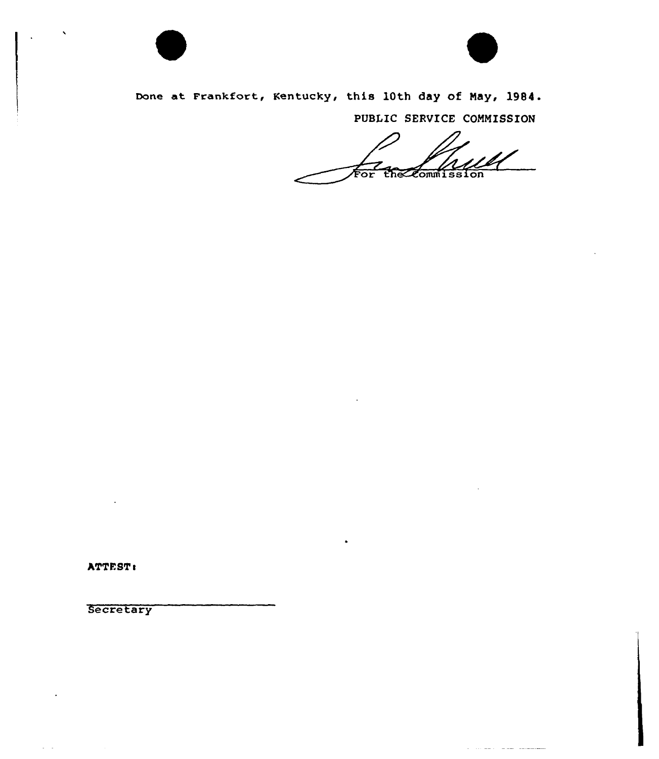



a conservative and accompany

Done at Frankfort, Kentucky, this 10th day of May, 1984.

PUBLIC SERVICE COMMISSION

ਦੇਸ਼ਿਕਟ ommission or'

ATTEST:

 $\omega_{\rm{max}}$ 

**Secretary**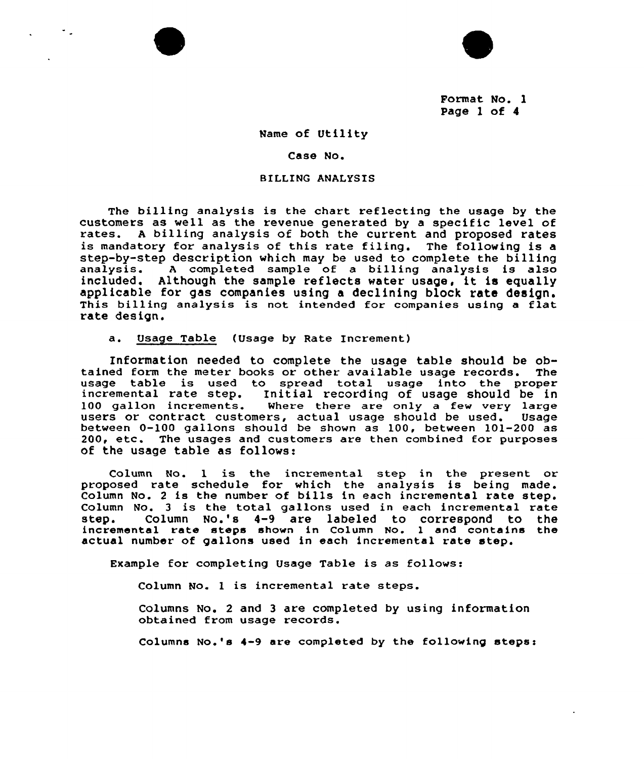

Format No. l Page <sup>1</sup> of 4

### Name of Utility

#### Case No.

## BILLING ANALYSIS

The billing analysis is the chart reflecting the usage by the customers as well as the revenue generated by a specific level of rates. <sup>A</sup> billing analysis of both the current and proposed rates is mandatory for analysis of this rate filing. The following is <sup>a</sup> step-by-step description which may be used to complete the billing<br>analysis. A completed sample of a billing analysis is also A completed sample of a billing analysis is also included. Although the sample reflects water usage, it is equally applicable for gas companies using a declining block rate design. This billing analysis is not intended for companies using a flat rate design.

a. Usage Table (Usage by Rate Increment)

Information needed to complete the usage table should be ob-<br>ed form the meter books or other available usage records. The tained form the meter books or other available usage records. usage table is used to spread total usage into the proper incremental rate step. Initial recording of usage should be in<br>100 gallon increments. Where there are only a few very large Where there are only a few very large users or contract customers, actual usage should be used. Usage between 0-100 gallons should be shown as 100, between 101-200 as 200, etc. The usages and customers are then combined for purposes of the usage table as follows:

Column No. 1 is the incremental step in the present or proposed rate schedule for which the analysis is being made. Column No. <sup>2</sup> is the number of bills in each incremental rate step. Column No. 3 is the total gallons used in each incremental rate<br>step. Column No.'s 4-9 are labeled to correspond to the Column No.'s  $4-9$  are labeled to correspond to the incremental rate steps shown in Column No. l and contains the actual number of gallons used in each incremental rate step.

Example for completing Usage Table is as follows:

Column No. <sup>1</sup> is incremental rate steps.

Columns No. 2 and 3 are completed by using information obtained from usage records.

Columns No.'s  $4-9$  are completed by the following steps: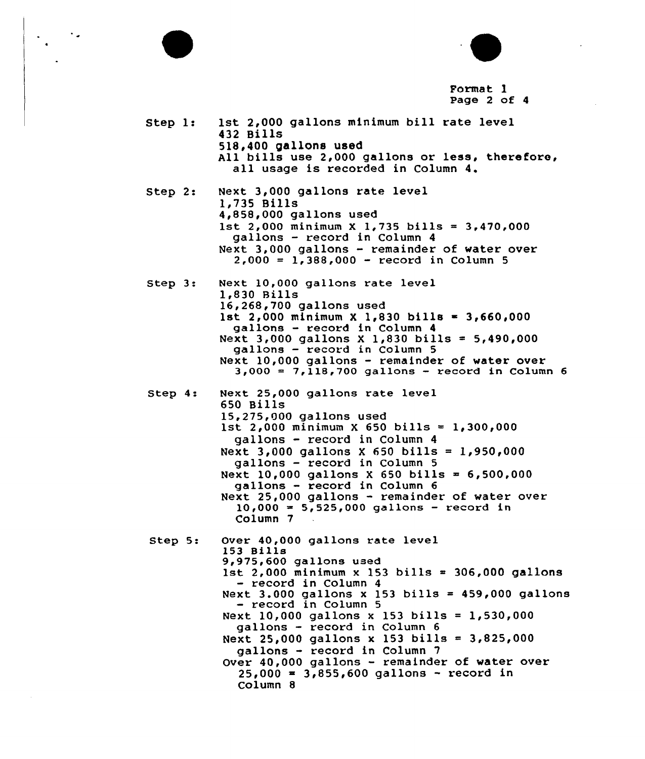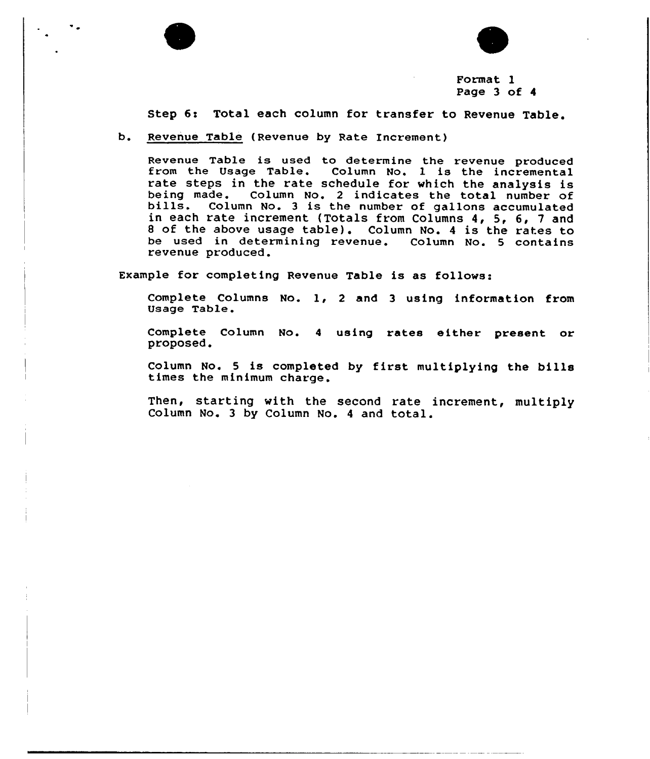



Format 1 Page 3 of 4

Step 6: Total each column for transfer to Revenue Table.

b. Revenue Table (Revenue by Rate Increment)

Revenue Table is used to determine the revenue produced from the Usage Table. Column No. 1 is the incremental rate steps in the rate schedule for which the analysis is being made. Column No. <sup>2</sup> indicates the total number of bills. Column No. <sup>3</sup> is the number of gallons accumulated in each rate increment (Totals from Columns 4, 5, 6, <sup>7</sup> and <sup>8</sup> of the above usage table). Column No. <sup>4</sup> is the rates to be used in determining revenue. Column No. 5 contains revenue produced.

Example for completing Revenue Table is as follows:

Complete Columns No. l, <sup>2</sup> and <sup>3</sup> using information from Usage Table.

Complete Column No. <sup>4</sup> using rates either present or proposed.

Column No. <sup>5</sup> is completed by first multiplying the bills times the minimum charge.

Then, starting with the second rate increment, multiply Column No. <sup>3</sup> by Column No. <sup>4</sup> and total.